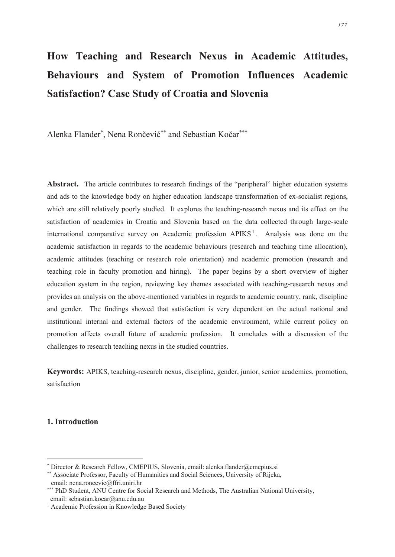# **How Teaching and Research Nexus in Academic Attitudes, Behaviours and System of Promotion Influences Academic Satisfaction? Case Study of Croatia and Slovenia**

Alenka Flander\* , Nena Rončević\*\* and Sebastian Kočar\*\*\*

**Abstract.** The article contributes to research findings of the "peripheral" higher education systems and ads to the knowledge body on higher education landscape transformation of ex-socialist regions, which are still relatively poorly studied. It explores the teaching-research nexus and its effect on the satisfaction of academics in Croatia and Slovenia based on the data collected through large-scale international comparative survey on Academic profession APIKS<sup>1</sup>. Analysis was done on the academic satisfaction in regards to the academic behaviours (research and teaching time allocation), academic attitudes (teaching or research role orientation) and academic promotion (research and teaching role in faculty promotion and hiring). The paper begins by a short overview of higher education system in the region, reviewing key themes associated with teaching-research nexus and provides an analysis on the above-mentioned variables in regards to academic country, rank, discipline and gender. The findings showed that satisfaction is very dependent on the actual national and institutional internal and external factors of the academic environment, while current policy on promotion affects overall future of academic profession. It concludes with a discussion of the challenges to research teaching nexus in the studied countries.

**Keywords:** APIKS, teaching-research nexus, discipline, gender, junior, senior academics, promotion, satisfaction

# **1. Introduction**

<sup>\*</sup> Director & Research Fellow, CMEPIUS, Slovenia, email: alenka.flander@cmepius.si

<sup>\*\*</sup> Associate Professor, Faculty of Humanities and Social Sciences, University of Rijeka, email: nena.roncevic@ffri.uniri.hr

<sup>\*\*\*</sup> PhD Student, ANU Centre for Social Research and Methods, The Australian National University, email: sebastian.kocar@anu.edu.au

<sup>&</sup>lt;sup>1</sup> Academic Profession in Knowledge Based Society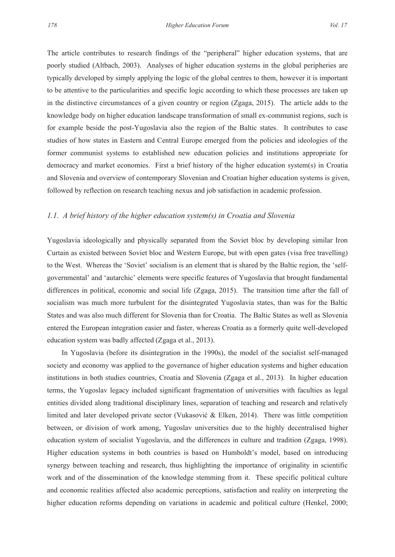The article contributes to research findings of the "peripheral" higher education systems, that are poorly studied (Altbach, 2003). Analyses of higher education systems in the global peripheries are typically developed by simply applying the logic of the global centres to them, however it is important to be attentive to the particularities and specific logic according to which these processes are taken up in the distinctive circumstances of a given country or region (Zgaga, 2015). The article adds to the knowledge body on higher education landscape transformation of small ex-communist regions, such is for example beside the post-Yugoslavia also the region of the Baltic states. It contributes to case studies of how states in Eastern and Central Europe emerged from the policies and ideologies of the former communist systems to established new education policies and institutions appropriate for democracy and market economies. First a brief history of the higher education system(s) in Croatia and Slovenia and overview of contemporary Slovenian and Croatian higher education systems is given, followed by reflection on research teaching nexus and job satisfaction in academic profession.

#### *1.1. A brief history of the higher education system(s) in Croatia and Slovenia*

Yugoslavia ideologically and physically separated from the Soviet bloc by developing similar Iron Curtain as existed between Soviet bloc and Western Europe, but with open gates (visa free travelling) to the West. Whereas the 'Soviet' socialism is an element that is shared by the Baltic region, the 'selfgovernmental' and 'autarchic' elements were specific features of Yugoslavia that brought fundamental differences in political, economic and social life (Zgaga, 2015). The transition time after the fall of socialism was much more turbulent for the disintegrated Yugoslavia states, than was for the Baltic States and was also much different for Slovenia than for Croatia. The Baltic States as well as Slovenia entered the European integration easier and faster, whereas Croatia as a formerly quite well-developed education system was badly affected (Zgaga et al., 2013).

In Yugoslavia (before its disintegration in the 1990s), the model of the socialist self-managed society and economy was applied to the governance of higher education systems and higher education institutions in both studies countries, Croatia and Slovenia (Zgaga et al., 2013). In higher education terms, the Yugoslav legacy included significant fragmentation of universities with faculties as legal entities divided along traditional disciplinary lines, separation of teaching and research and relatively limited and later developed private sector (Vukasović & Elken, 2014). There was little competition between, or division of work among, Yugoslav universities due to the highly decentralised higher education system of socialist Yugoslavia, and the differences in culture and tradition (Zgaga, 1998). Higher education systems in both countries is based on Humboldt's model, based on introducing synergy between teaching and research, thus highlighting the importance of originality in scientific work and of the dissemination of the knowledge stemming from it. These specific political culture and economic realities affected also academic perceptions, satisfaction and reality on interpreting the higher education reforms depending on variations in academic and political culture (Henkel, 2000;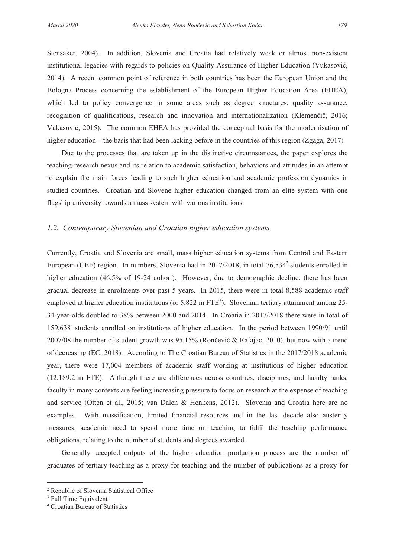Stensaker, 2004). In addition, Slovenia and Croatia had relatively weak or almost non-existent institutional legacies with regards to policies on Quality Assurance of Higher Education (Vukasović, 2014). A recent common point of reference in both countries has been the European Union and the Bologna Process concerning the establishment of the European Higher Education Area (EHEA), which led to policy convergence in some areas such as degree structures, quality assurance, recognition of qualifications, research and innovation and internationalization (Klemenčič, 2016; Vukasović, 2015). The common EHEA has provided the conceptual basis for the modernisation of higher education – the basis that had been lacking before in the countries of this region (Zgaga, 2017).

Due to the processes that are taken up in the distinctive circumstances, the paper explores the teaching-research nexus and its relation to academic satisfaction, behaviors and attitudes in an attempt to explain the main forces leading to such higher education and academic profession dynamics in studied countries. Croatian and Slovene higher education changed from an elite system with one flagship university towards a mass system with various institutions.

#### *1.2. Contemporary Slovenian and Croatian higher education systems*

Currently, Croatia and Slovenia are small, mass higher education systems from Central and Eastern European (CEE) region. In numbers, Slovenia had in 2017/2018, in total 76,534<sup>2</sup> students enrolled in higher education (46.5% of 19-24 cohort). However, due to demographic decline, there has been gradual decrease in enrolments over past 5 years. In 2015, there were in total 8,588 academic staff employed at higher education institutions (or  $5,822$  in  $FTE<sup>3</sup>$ ). Slovenian tertiary attainment among 25-34-year-olds doubled to 38% between 2000 and 2014. In Croatia in 2017/2018 there were in total of 159,638<sup>4</sup> students enrolled on institutions of higher education. In the period between 1990/91 until 2007/08 the number of student growth was 95.15% (Rončević & Rafajac, 2010), but now with a trend of decreasing (EC, 2018). According to The Croatian Bureau of Statistics in the 2017/2018 academic year, there were 17,004 members of academic staff working at institutions of higher education (12,189.2 in FTE). Although there are differences across countries, disciplines, and faculty ranks, faculty in many contexts are feeling increasing pressure to focus on research at the expense of teaching and service (Otten et al., 2015; van Dalen & Henkens, 2012). Slovenia and Croatia here are no examples. With massification, limited financial resources and in the last decade also austerity measures, academic need to spend more time on teaching to fulfil the teaching performance obligations, relating to the number of students and degrees awarded.

Generally accepted outputs of the higher education production process are the number of graduates of tertiary teaching as a proxy for teaching and the number of publications as a proxy for

<sup>2</sup> Republic of Slovenia Statistical Office

<sup>3</sup> Full Time Equivalent

<sup>4</sup> Croatian Bureau of Statistics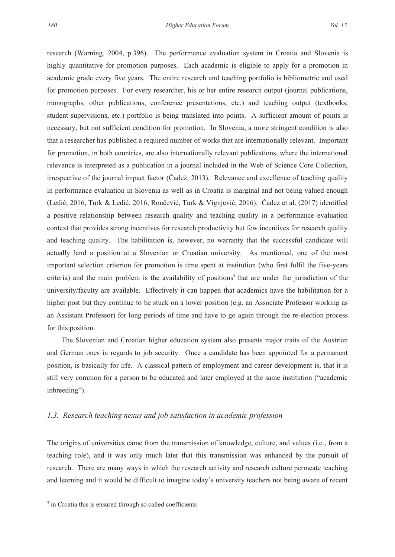research (Warning, 2004, p.396). The performance evaluation system in Croatia and Slovenia is highly quantitative for promotion purposes. Each academic is eligible to apply for a promotion in academic grade every five years. The entire research and teaching portfolio is bibliometric and used for promotion purposes. For every researcher, his or her entire research output (journal publications, monographs, other publications, conference presentations, etc.) and teaching output (textbooks, student supervisions, etc.) portfolio is being translated into points. A sufficient amount of points is necessary, but not sufficient condition for promotion. In Slovenia, a more stringent condition is also that a researcher has published a required number of works that are internationally relevant. Important for promotion, in both countries, are also internationally relevant publications, where the international relevance is interpreted as a publication in a journal included in the Web of Science Core Collection, irrespective of the journal impact factor (Čadež, 2013). Relevance and excellence of teaching quality in performance evaluation in Slovenia as well as in Croatia is marginal and not being valued enough (Ledić, 2016, Turk & Ledić, 2016, Rončević, Turk & Vignjević, 2016). Čadez et al. (2017) identified a positive relationship between research quality and teaching quality in a performance evaluation context that provides strong incentives for research productivity but few incentives for research quality and teaching quality. The habilitation is, however, no warranty that the successful candidate will actually land a position at a Slovenian or Croatian university. As mentioned, one of the most important selection criterion for promotion is time spent at institution (who first fulfil the five-years criteria) and the main problem is the availability of positions<sup>5</sup> that are under the jurisdiction of the university/faculty are available. Effectively it can happen that academics have the habilitation for a higher post but they continue to be stuck on a lower position (e.g. an Associate Professor working as an Assistant Professor) for long periods of time and have to go again through the re-election process for this position.

The Slovenian and Croatian higher education system also presents major traits of the Austrian and German ones in regards to job security. Once a candidate has been appointed for a permanent position, is basically for life. A classical pattern of employment and career development is, that it is still very common for a person to be educated and later employed at the same institution ("academic inbreeding").

#### *1.3. Research teaching nexus and job satisfaction in academic profession*

The origins of universities came from the transmission of knowledge, culture, and values (i.e., from a teaching role), and it was only much later that this transmission was enhanced by the pursuit of research. There are many ways in which the research activity and research culture permeate teaching and learning and it would be difficult to imagine today's university teachers not being aware of recent

<sup>&</sup>lt;sup>5</sup> in Croatia this is ensured through so called coefficients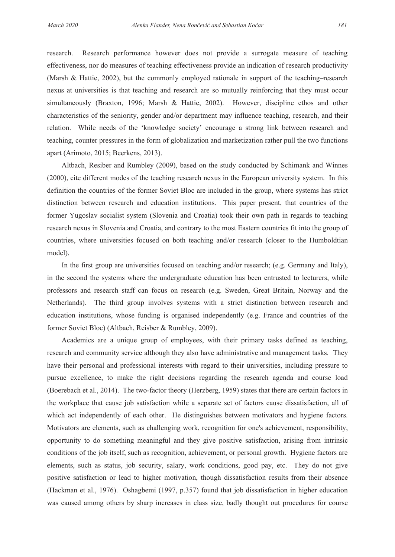research. Research performance however does not provide a surrogate measure of teaching effectiveness, nor do measures of teaching effectiveness provide an indication of research productivity (Marsh & Hattie, 2002), but the commonly employed rationale in support of the teaching–research nexus at universities is that teaching and research are so mutually reinforcing that they must occur simultaneously (Braxton, 1996; Marsh & Hattie, 2002). However, discipline ethos and other characteristics of the seniority, gender and/or department may influence teaching, research, and their relation. While needs of the 'knowledge society' encourage a strong link between research and teaching, counter pressures in the form of globalization and marketization rather pull the two functions apart (Arimoto, 2015; Beerkens, 2013).

Altbach, Resiber and Rumbley (2009), based on the study conducted by Schimank and Winnes (2000), cite different modes of the teaching research nexus in the European university system. In this definition the countries of the former Soviet Bloc are included in the group, where systems has strict distinction between research and education institutions. This paper present, that countries of the former Yugoslav socialist system (Slovenia and Croatia) took their own path in regards to teaching research nexus in Slovenia and Croatia, and contrary to the most Eastern countries fit into the group of countries, where universities focused on both teaching and/or research (closer to the Humboldtian model).

In the first group are universities focused on teaching and/or research; (e.g. Germany and Italy), in the second the systems where the undergraduate education has been entrusted to lecturers, while professors and research staff can focus on research (e.g. Sweden, Great Britain, Norway and the Netherlands). The third group involves systems with a strict distinction between research and education institutions, whose funding is organised independently (e.g. France and countries of the former Soviet Bloc) (Altbach, Reisber & Rumbley, 2009).

Academics are a unique group of employees, with their primary tasks defined as teaching, research and community service although they also have administrative and management tasks. They have their personal and professional interests with regard to their universities, including pressure to pursue excellence, to make the right decisions regarding the research agenda and course load (Boerebach et al., 2014). The two-factor theory (Herzberg, 1959) states that there are certain factors in the workplace that cause job satisfaction while a separate set of factors cause dissatisfaction, all of which act independently of each other. He distinguishes between motivators and hygiene factors. Motivators are elements, such as challenging work, recognition for one's achievement, responsibility, opportunity to do something meaningful and they give positive satisfaction, arising from intrinsic conditions of the job itself, such as recognition, achievement, or personal growth. Hygiene factors are elements, such as status, job security, salary, work conditions, good pay, etc. They do not give positive satisfaction or lead to higher motivation, though dissatisfaction results from their absence (Hackman et al., 1976). Oshagbemi (1997, p.357) found that job dissatisfaction in higher education was caused among others by sharp increases in class size, badly thought out procedures for course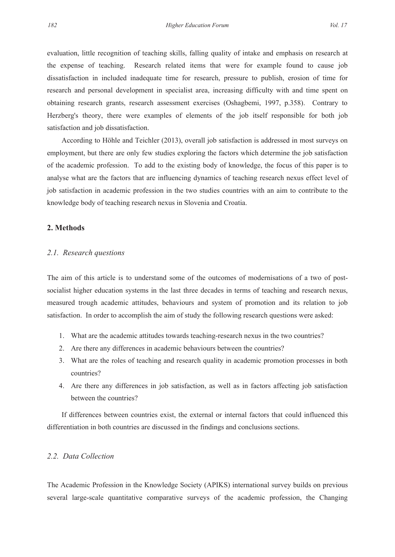evaluation, little recognition of teaching skills, falling quality of intake and emphasis on research at the expense of teaching. Research related items that were for example found to cause job dissatisfaction in included inadequate time for research, pressure to publish, erosion of time for research and personal development in specialist area, increasing difficulty with and time spent on obtaining research grants, research assessment exercises (Oshagbemi, 1997, p.358). Contrary to Herzberg's theory, there were examples of elements of the job itself responsible for both job satisfaction and job dissatisfaction.

According to Höhle and Teichler (2013), overall job satisfaction is addressed in most surveys on employment, but there are only few studies exploring the factors which determine the job satisfaction of the academic profession. To add to the existing body of knowledge, the focus of this paper is to analyse what are the factors that are influencing dynamics of teaching research nexus effect level of job satisfaction in academic profession in the two studies countries with an aim to contribute to the knowledge body of teaching research nexus in Slovenia and Croatia.

#### **2. Methods**

#### *2.1. Research questions*

The aim of this article is to understand some of the outcomes of modernisations of a two of postsocialist higher education systems in the last three decades in terms of teaching and research nexus, measured trough academic attitudes, behaviours and system of promotion and its relation to job satisfaction. In order to accomplish the aim of study the following research questions were asked:

- 1. What are the academic attitudes towards teaching-research nexus in the two countries?
- 2. Are there any differences in academic behaviours between the countries?
- 3. What are the roles of teaching and research quality in academic promotion processes in both countries?
- 4. Are there any differences in job satisfaction, as well as in factors affecting job satisfaction between the countries?

If differences between countries exist, the external or internal factors that could influenced this differentiation in both countries are discussed in the findings and conclusions sections.

# *2.2. Data Collection*

The Academic Profession in the Knowledge Society (APIKS) international survey builds on previous several large-scale quantitative comparative surveys of the academic profession, the Changing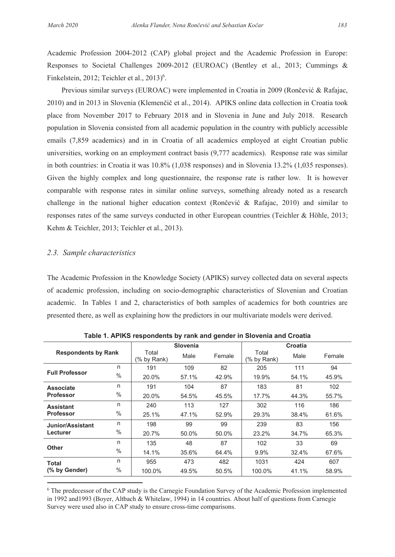Academic Profession 2004-2012 (CAP) global project and the Academic Profession in Europe: Responses to Societal Challenges 2009-2012 (EUROAC) (Bentley et al., 2013; Cummings & Finkelstein, 2012; Teichler et al.,  $2013$ <sup>6</sup>.

Previous similar surveys (EUROAC) were implemented in Croatia in 2009 (Rončević & Rafajac, 2010) and in 2013 in Slovenia (Klemenčič et al., 2014). APIKS online data collection in Croatia took place from November 2017 to February 2018 and in Slovenia in June and July 2018. Research population in Slovenia consisted from all academic population in the country with publicly accessible emails (7,859 academics) and in in Croatia of all academics employed at eight Croatian public universities, working on an employment contract basis (9,777 academics). Response rate was similar in both countries: in Croatia it was 10.8% (1,038 responses) and in Slovenia 13.2% (1,035 responses). Given the highly complex and long questionnaire, the response rate is rather low. It is however comparable with response rates in similar online surveys, something already noted as a research challenge in the national higher education context (Rončević & Rafajac, 2010) and similar to responses rates of the same surveys conducted in other European countries (Teichler & Höhle, 2013; Kehm & Teichler, 2013; Teichler et al., 2013).

#### *2.3. Sample characteristics*

The Academic Profession in the Knowledge Society (APIKS) survey collected data on several aspects of academic profession, including on socio-demographic characteristics of Slovenian and Croatian academic. In Tables 1 and 2, characteristics of both samples of academics for both countries are presented there, as well as explaining how the predictors in our multivariate models were derived.

| - 1<br><br>                |      |                      |                 |        |                      |         |        |
|----------------------------|------|----------------------|-----------------|--------|----------------------|---------|--------|
|                            |      |                      | <b>Slovenia</b> |        |                      | Croatia |        |
| <b>Respondents by Rank</b> |      | Total<br>(% by Rank) | Male            | Female | Total<br>(% by Rank) | Male    | Female |
|                            | n    | 191                  | 109             | 82     | 205                  | 111     | 94     |
| <b>Full Professor</b>      | $\%$ | 20.0%                | 57.1%           | 42.9%  | 19.9%                | 54.1%   | 45.9%  |
| <b>Associate</b>           | n    | 191                  | 104             | 87     | 183                  | 81      | 102    |
| <b>Professor</b>           | $\%$ | 20.0%                | 54.5%           | 45.5%  | 17.7%                | 44.3%   | 55.7%  |
| <b>Assistant</b>           | n    | 240                  | 113             | 127    | 302                  | 116     | 186    |
| <b>Professor</b>           | $\%$ | 25.1%                | 47.1%           | 52.9%  | 29.3%                | 38.4%   | 61.6%  |
| Junior/Assistant           | n    | 198                  | 99              | 99     | 239                  | 83      | 156    |
| Lecturer                   | $\%$ | 20.7%                | 50.0%           | 50.0%  | 23.2%                | 34.7%   | 65.3%  |
|                            | n    | 135                  | 48              | 87     | 102                  | 33      | 69     |
| Other                      | $\%$ | 14.1%                | 35.6%           | 64.4%  | 9.9%                 | 32.4%   | 67.6%  |
| <b>Total</b>               | n    | 955                  | 473             | 482    | 1031                 | 424     | 607    |
| (% by Gender)              | $\%$ | 100.0%               | 49.5%           | 50.5%  | 100.0%               | 41.1%   | 58.9%  |

**Table 1. APIKS respondents by rank and gender in Slovenia and Croatia** 

6 The predecessor of the CAP study is the Carnegie Foundation Survey of the Academic Profession implemented in 1992 and1993 (Boyer, Altbach & Whitelaw, 1994) in 14 countries. About half of questions from Carnegie Survey were used also in CAP study to ensure cross-time comparisons.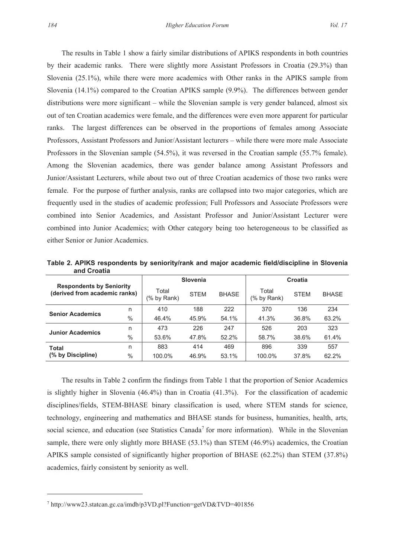The results in Table 1 show a fairly similar distributions of APIKS respondents in both countries by their academic ranks. There were slightly more Assistant Professors in Croatia (29.3%) than Slovenia (25.1%), while there were more academics with Other ranks in the APIKS sample from Slovenia (14.1%) compared to the Croatian APIKS sample (9.9%). The differences between gender distributions were more significant – while the Slovenian sample is very gender balanced, almost six out of ten Croatian academics were female, and the differences were even more apparent for particular ranks. The largest differences can be observed in the proportions of females among Associate Professors, Assistant Professors and Junior/Assistant lecturers – while there were more male Associate Professors in the Slovenian sample (54.5%), it was reversed in the Croatian sample (55.7% female). Among the Slovenian academics, there was gender balance among Assistant Professors and Junior/Assistant Lecturers, while about two out of three Croatian academics of those two ranks were female. For the purpose of further analysis, ranks are collapsed into two major categories, which are frequently used in the studies of academic profession; Full Professors and Associate Professors were combined into Senior Academics, and Assistant Professor and Junior/Assistant Lecturer were combined into Junior Academics; with Other category being too heterogeneous to be classified as either Senior or Junior Academics.

**Table 2. APIKS respondents by seniority/rank and major academic field/discipline in Slovenia and Croatia** 

| <b>Respondents by Seniority</b><br>(derived from academic ranks) |               | Slovenia             |             |              | Croatia              |             |              |
|------------------------------------------------------------------|---------------|----------------------|-------------|--------------|----------------------|-------------|--------------|
|                                                                  |               | Total<br>(% by Rank) | <b>STEM</b> | <b>BHASE</b> | Total<br>(% by Rank) | <b>STEM</b> | <b>BHASE</b> |
| <b>Senior Academics</b>                                          | n             | 410                  | 188         | 222          | 370                  | 136         | 234          |
|                                                                  | $\frac{0}{0}$ | 46.4%                | 45.9%       | 54.1%        | 41.3%                | 36.8%       | 63.2%        |
| <b>Junior Academics</b>                                          | n             | 473                  | 226         | 247          | 526                  | 203         | 323          |
|                                                                  | $\%$          | 53.6%                | 47.8%       | 52.2%        | 58.7%                | 38.6%       | 61.4%        |
| Total                                                            | n             | 883                  | 414         | 469          | 896                  | 339         | 557          |
| (% by Discipline)                                                | $\frac{0}{0}$ | 100.0%               | 46.9%       | 53.1%        | 100.0%               | 37.8%       | 62.2%        |

The results in Table 2 confirm the findings from Table 1 that the proportion of Senior Academics is slightly higher in Slovenia (46.4%) than in Croatia (41.3%). For the classification of academic disciplines/fields, STEM-BHASE binary classification is used, where STEM stands for science, technology, engineering and mathematics and BHASE stands for business, humanities, health, arts, social science, and education (see Statistics Canada<sup>7</sup> for more information). While in the Slovenian sample, there were only slightly more BHASE (53.1%) than STEM (46.9%) academics, the Croatian APIKS sample consisted of significantly higher proportion of BHASE (62.2%) than STEM (37.8%) academics, fairly consistent by seniority as well.

<sup>7</sup> http://www23.statcan.gc.ca/imdb/p3VD.pl?Function=getVD&TVD=401856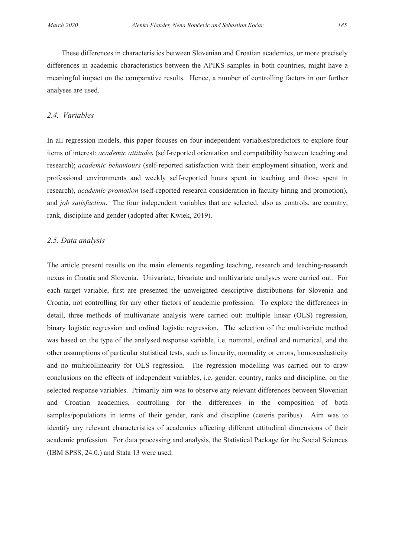These differences in characteristics between Slovenian and Croatian academics, or more precisely differences in academic characteristics between the APIKS samples in both countries, might have a meaningful impact on the comparative results. Hence, a number of controlling factors in our further analyses are used.

#### *2.4. Variables*

In all regression models, this paper focuses on four independent variables/predictors to explore four items of interest: *academic attitudes* (self-reported orientation and compatibility between teaching and research); *academic behaviours* (self-reported satisfaction with their employment situation, work and professional environments and weekly self-reported hours spent in teaching and those spent in research), *academic promotion* (self-reported research consideration in faculty hiring and promotion), and *job satisfaction*. The four independent variables that are selected, also as controls, are country, rank, discipline and gender (adopted after Kwiek, 2019).

#### *2.5. Data analysis*

The article present results on the main elements regarding teaching, research and teaching-research nexus in Croatia and Slovenia. Univariate, bivariate and multivariate analyses were carried out. For each target variable, first are presented the unweighted descriptive distributions for Slovenia and Croatia, not controlling for any other factors of academic profession. To explore the differences in detail, three methods of multivariate analysis were carried out: multiple linear (OLS) regression, binary logistic regression and ordinal logistic regression. The selection of the multivariate method was based on the type of the analysed response variable, i.e. nominal, ordinal and numerical, and the other assumptions of particular statistical tests, such as linearity, normality or errors, homoscedasticity and no multicollinearity for OLS regression. The regression modelling was carried out to draw conclusions on the effects of independent variables, i.e. gender, country, ranks and discipline, on the selected response variables. Primarily aim was to observe any relevant differences between Slovenian and Croatian academics, controlling for the differences in the composition of both samples/populations in terms of their gender, rank and discipline (ceteris paribus). Aim was to identify any relevant characteristics of academics affecting different attitudinal dimensions of their academic profession. For data processing and analysis, the Statistical Package for the Social Sciences (IBM SPSS, 24.0.) and Stata 13 were used.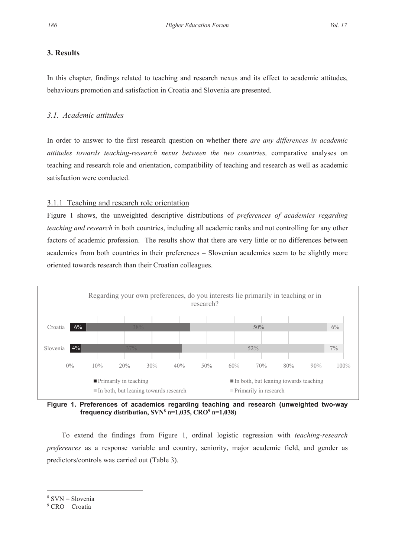# **3. Results**

In this chapter, findings related to teaching and research nexus and its effect to academic attitudes, behaviours promotion and satisfaction in Croatia and Slovenia are presented.

# *3.1. Academic attitudes*

In order to answer to the first research question on whether there *are any differences in academic attitudes towards teaching-research nexus between the two countries,* comparative analyses on teaching and research role and orientation, compatibility of teaching and research as well as academic satisfaction were conducted.

# 3.1.1 Teaching and research role orientation

Figure 1 shows, the unweighted descriptive distributions of *preferences of academics regarding teaching and research* in both countries, including all academic ranks and not controlling for any other factors of academic profession. The results show that there are very little or no differences between academics from both countries in their preferences – Slovenian academics seem to be slightly more oriented towards research than their Croatian colleagues.



**Figure 1. Preferences of academics regarding teaching and research (unweighted two-way frequency** distribution,  $SVN^8$  n=1,035,  $CRO^9$  n=1,038)

To extend the findings from Figure 1, ordinal logistic regression with *teaching-research preferences* as a response variable and country, seniority, major academic field, and gender as predictors/controls was carried out (Table 3).

<sup>8</sup> SVN = Slovenia

<sup>&</sup>lt;sup>9</sup> CRO = Croatia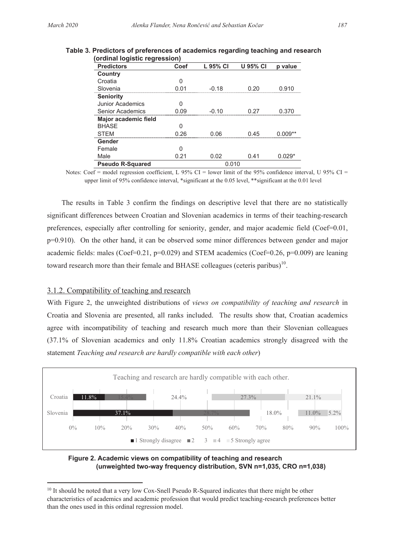| <b>Predictors</b>       | Coef | L 95% CI | <b>U 95% CI</b> | p value  |
|-------------------------|------|----------|-----------------|----------|
| Country                 |      |          |                 |          |
| Croatia                 |      |          |                 |          |
| Slovenia                | በ በ1 | -0.18    | በ ጋር            | 0.910    |
| <b>Seniority</b>        |      |          |                 |          |
| Junior Academics        |      |          |                 |          |
| Senior Academics        | 0 09 | -ቦ 10    | በ 27            | 0 370    |
| Major academic field    |      |          |                 |          |
| <b>BHASE</b>            |      |          |                 |          |
| <b>STEM</b>             | በ 26 | በ በ6     | 045             |          |
| Gender                  |      |          |                 |          |
| Female                  |      |          |                 |          |
| Male                    | 0.21 | 0.02     | 0.41            | $0.029*$ |
| <b>Pseudo R-Squared</b> |      | 0.010    |                 |          |

#### **Table 3. Predictors of preferences of academics regarding teaching and research Table 3. Predictors of preferences of academics regarding teaching and research (ordinal logistic regression) (ordinal logistic regression)**

Notes: Coef = model regression coefficient, L 95% CI = lower limit of the 95% confidence interval, U 95% CI = Notes: Coef = model regression coefficient, L 95% CI = lower limit of the 95% confidence interval, U 95% CI = upper limit of 95% confidence interval, \*significant at the 0.05 level, \*\*significant at the 0.01 level upper limit of 95% confidence interval, \*significant at the 0.05 level, \*\*significant at the 0.01 level

The results in Table 3 confirm the findings on descriptive level that there are no statistically The results in Table 3 confirm the findings on descriptive level that there are no statistically significant differences between Croatian and Slovenian academics in terms of their teaching-research significant differences between Croatian and Slovenian academics in terms of their teaching-research preferences, especially after controlling for seniority, gender, and major academic field (Coef=0.01, preferences, especially after controlling for seniority, gender, and major academic field (Coef=0.01, p=0.910). On the other hand, it can be observed some minor differences between gender and major p=0.910). On the other hand, it can be observed some minor differences between gender and major academic fields: males (Coef=0.21, p=0.029) and STEM academics (Coef=0.26, p=0.009) are leaning academic fields: males (Coef=0.21, p=0.029) and STEM academics (Coef=0.26, p=0.009) are leaning toward research more than their female and BHASE colleagues (ceteris paribus)<sup>10</sup>.

#### 3.1.2. Compatibility of teaching and research 3.1.2. Compatibility of teaching and research

With Figure 2, the unweighted distributions of *views on compatibility of teaching and research* in With Figure 2, the unweighted distributions of *views on compatibility of teaching and research* in Croatia and Slovenia are presented, all ranks included. The results show that, Croatian academics agree with incompatibility of teaching and research much more than their Slovenian colleagues agree with incompatibility of teaching and research much more than their Slovenian colleagues (37.1% of Slovenian academics and only 11.8% Croatian academics strongly disagreed with the (37.1% of Slovenian academics and only 11.8% Croatian academics strongly disagreed with the statement *Teaching and research are hardly compatible with each other*) statement *Teaching and research are hardly compatible with each other*)



**Figure 2. Academic views on compatibility of teaching and research Figure 2. Academic views on compatibility of teaching and research (unweighted two-way frequency distribution, SVN n=1,035, CRO n=1,038) (unweighted two-way frequency distribution, SVN n=1,035, CRO n=1,038)**

<sup>&</sup>lt;sup>10</sup> It should be noted that a very low Cox-Snell Pseudo R-Squared indicates that there might be other characteristics of academics and academic profession that would predict teaching-research preferences better characteristics of academics and academic profession that would predict teaching-research preferences better than the ones used in this ordinal regression model. than the ones used in this ordinal regression model.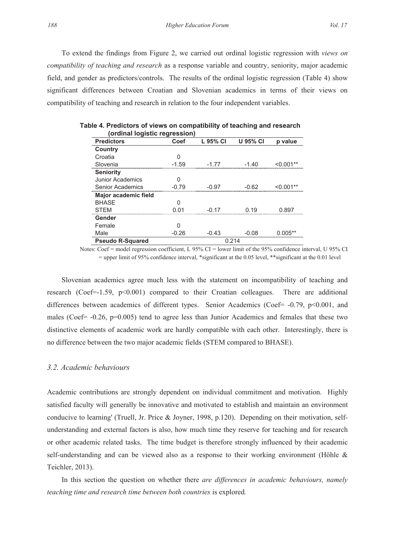To extend the findings from Figure 2, we carried out ordinal logistic regression with *views on compatibility of teaching and research* as a response variable and country, seniority, major academic field, and gender as predictors/controls. The results of the ordinal logistic regression (Table 4) show significant differences between Croatian and Slovenian academics in terms of their views on compatibility of teaching and research in relation to the four independent variables.

| urumar lugistic regression, |         |          |                 |           |
|-----------------------------|---------|----------|-----------------|-----------|
| <b>Predictors</b>           | Coef    | L 95% CI | <b>U 95% CI</b> | p value   |
| Country                     |         |          |                 |           |
| Croatia                     |         |          |                 |           |
| Slovenia                    | $-1.59$ | -1 77    | -1 40           |           |
| <b>Seniority</b>            |         |          |                 |           |
| <b>Junior Academics</b>     |         |          |                 |           |
| Senior Academics            | -79     | -0.97    | -Ი ᲩᲔ           |           |
| Major academic field        |         |          |                 |           |
| <b>BHASE</b>                |         |          |                 |           |
| <b>STFM</b>                 |         | -0.17    |                 |           |
| Gender                      |         |          |                 |           |
| Female                      |         |          |                 |           |
| Male                        | $-0.26$ | $-0.43$  | $-0.08$         | $0.005**$ |
| <b>Pseudo R-Squared</b>     |         |          | 0 214           |           |

**Table 4. Predictors of views on compatibility of teaching and research (ordinal logistic regression)** 

Notes: Coef = model regression coefficient, L 95% CI = lower limit of the 95% confidence interval, U 95% CI = upper limit of 95% confidence interval, \*significant at the 0.05 level, \*\*significant at the 0.01 level

Slovenian academics agree much less with the statement on incompatibility of teaching and research (Coef=-1.59,  $p<0.001$ ) compared to their Croatian colleagues. There are additional differences between academics of different types. Senior Academics (Coef= -0.79, p<0.001, and males (Coef=  $-0.26$ , p=0.005) tend to agree less than Junior Academics and females that these two distinctive elements of academic work are hardly compatible with each other. Interestingly, there is no difference between the two major academic fields (STEM compared to BHASE).

#### *3.2. Academic behaviours*

Academic contributions are strongly dependent on individual commitment and motivation. Highly satisfied faculty will generally be innovative and motivated to establish and maintain an environment conducive to learning' (Truell, Jr. Price & Joyner, 1998, p.120). Depending on their motivation, selfunderstanding and external factors is also, how much time they reserve for teaching and for research or other academic related tasks. The time budget is therefore strongly influenced by their academic self-understanding and can be viewed also as a response to their working environment (Höhle & Teichler, 2013).

In this section the question on whether there *are differences in academic behaviours, namely teaching time and research time between both countries* is explored*.*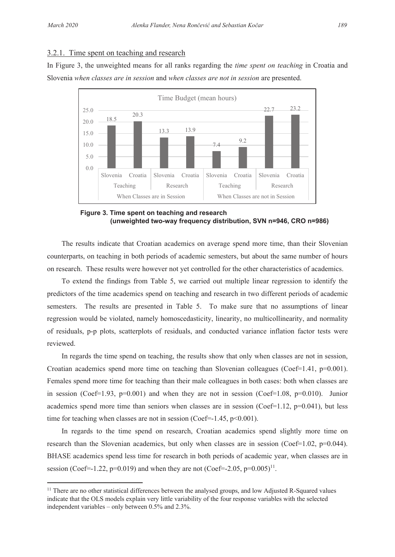## 3.2.1. Time spent on teaching and research

In Figure 3, the unweighted means for all ranks regarding the *time spent on teaching* in Croatia and Slovenia *when classes are in session* and *when classes are not in session* are presented.



**Figure 3. Time spent on teaching and research (unweighted two-way frequency distribution, SVN n=946, CRO n=986)** 

The results indicate that Croatian academics on average spend more time, than their Slovenian counterparts, on teaching in both periods of academic semesters, but about the same number of hours on research. These results were however not yet controlled for the other characteristics of academics.

To extend the findings from Table 5, we carried out multiple linear regression to identify the predictors of the time academics spend on teaching and research in two different periods of academic semesters. The results are presented in Table 5. To make sure that no assumptions of linear regression would be violated, namely homoscedasticity, linearity, no multicollinearity, and normality of residuals, p-p plots, scatterplots of residuals, and conducted variance inflation factor tests were reviewed.

In regards the time spend on teaching, the results show that only when classes are not in session, Croatian academics spend more time on teaching than Slovenian colleagues (Coef=1.41,  $p=0.001$ ). Females spend more time for teaching than their male colleagues in both cases: both when classes are in session (Coef=1.93, p=0.001) and when they are not in session (Coef=1.08, p=0.010). Junior academics spend more time than seniors when classes are in session (Coef=1.12,  $p=0.041$ ), but less time for teaching when classes are not in session (Coef= $-1.45$ , p<0.001).

In regards to the time spend on research, Croatian academics spend slightly more time on research than the Slovenian academics, but only when classes are in session (Coef=1.02,  $p=0.044$ ). BHASE academics spend less time for research in both periods of academic year, when classes are in session (Coef=-1.22, p=0.019) and when they are not (Coef=-2.05, p=0.005)<sup>11</sup>.

<sup>&</sup>lt;sup>11</sup> There are no other statistical differences between the analysed groups, and low Adjusted R-Squared values indicate that the OLS models explain very little variability of the four response variables with the selected independent variables – only between 0.5% and 2.3%.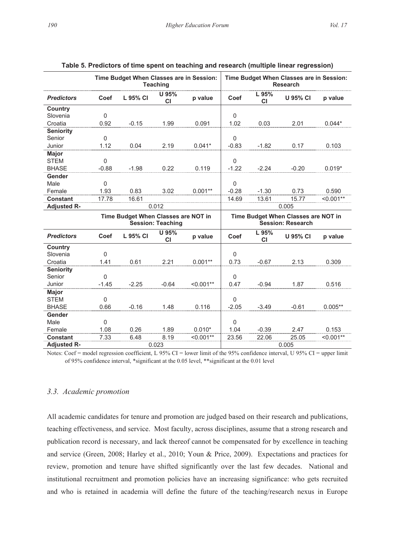|                    | Time Budget When Classes are in Session:<br><b>Teaching</b> |                                     |                          | Time Budget When Classes are in Session:<br><b>Research</b> |          |             |                                                                 |             |
|--------------------|-------------------------------------------------------------|-------------------------------------|--------------------------|-------------------------------------------------------------|----------|-------------|-----------------------------------------------------------------|-------------|
| <b>Predictors</b>  | Coef                                                        | L 95% CI                            | U 95%<br><b>CI</b>       | p value                                                     | Coef     | L 95%<br>СI | <b>U 95% CI</b>                                                 | p value     |
| Country            |                                                             |                                     |                          |                                                             |          |             |                                                                 |             |
| Slovenia           | $\Omega$                                                    |                                     |                          |                                                             | $\Omega$ |             |                                                                 |             |
| Croatia            | 0.92                                                        | $-0.15$                             | 1.99                     | 0.091                                                       | 1.02     | 0.03        | 2.01                                                            | $0.044*$    |
| <b>Seniority</b>   |                                                             |                                     |                          |                                                             |          |             |                                                                 |             |
| Senior             | 0                                                           |                                     |                          |                                                             | 0        |             |                                                                 |             |
| Junior             | 1.12                                                        | 0.04                                | 2.19                     | $0.041*$                                                    | $-0.83$  | $-1.82$     | 0.17                                                            | 0.103       |
| Major              |                                                             |                                     |                          |                                                             |          |             |                                                                 |             |
| <b>STEM</b>        | 0                                                           |                                     |                          |                                                             | $\Omega$ |             |                                                                 |             |
| <b>BHASE</b>       | $-0.88$                                                     | $-1.98$                             | 0.22                     | 0.119                                                       | $-1.22$  | $-2.24$     | $-0.20$                                                         | $0.019*$    |
| Gender             |                                                             |                                     |                          |                                                             |          |             |                                                                 |             |
| Male               | $\mathbf 0$                                                 |                                     |                          |                                                             | 0        |             |                                                                 |             |
| Female             | 1.93                                                        | 0.83                                | 3.02                     | $0.001**$                                                   | $-0.28$  | $-1.30$     | 0.73                                                            | 0.590       |
| Constant           | 17.78                                                       | 16.61                               |                          |                                                             | 14.69    | 13.61       | 15.77                                                           | $< 0.001**$ |
| <b>Adjusted R-</b> |                                                             |                                     | 0.012                    |                                                             |          |             | 0.005                                                           |             |
|                    |                                                             |                                     |                          |                                                             |          |             |                                                                 |             |
|                    |                                                             | Time Budget When Classes are NOT in | <b>Session: Teaching</b> |                                                             |          |             | Time Budget When Classes are NOT in<br><b>Session: Research</b> |             |
| <b>Predictors</b>  | Coef                                                        | L 95% CI                            | U 95%<br><b>CI</b>       | p value                                                     | Coef     | L 95%<br>СI | <b>U 95% CI</b>                                                 | p value     |
| Country            |                                                             |                                     |                          |                                                             |          |             |                                                                 |             |
| Slovenia           | $\mathbf 0$                                                 |                                     |                          |                                                             | 0        |             |                                                                 |             |
| Croatia            | 1.41                                                        | 0.61                                | 2.21                     | $0.001**$                                                   | 0.73     | $-0.67$     | 2.13                                                            | 0.309       |
| <b>Seniority</b>   |                                                             |                                     |                          |                                                             |          |             |                                                                 |             |
| Senior             | 0                                                           |                                     |                          |                                                             | $\Omega$ |             |                                                                 |             |
| Junior             | $-1.45$                                                     | $-2.25$                             | $-0.64$                  | $< 0.001**$                                                 | 0.47     | $-0.94$     | 1.87                                                            | 0.516       |
| Major              |                                                             |                                     |                          |                                                             |          |             |                                                                 |             |
| <b>STEM</b>        | 0                                                           |                                     |                          |                                                             | 0        |             |                                                                 |             |
| <b>BHASE</b>       | 0.66                                                        | $-0.16$                             | 1.48                     | 0.116                                                       | $-2.05$  | $-3.49$     | $-0.61$                                                         | $0.005**$   |
| Gender             |                                                             |                                     |                          |                                                             |          |             |                                                                 |             |
| Male               | 0                                                           |                                     |                          |                                                             | $\Omega$ |             |                                                                 |             |
| Female             | 1.08                                                        | 0.26                                | 1.89                     | $0.010*$                                                    | 1.04     | $-0.39$     | 2.47                                                            | 0.153       |
| <b>Constant</b>    | 7.33                                                        | 6.48                                | 8.19                     | $< 0.001**$                                                 | 23.56    | 22.06       | 25.05                                                           | $< 0.001**$ |

|  |  |  | Table 5. Predictors of time spent on teaching and research (multiple linear regression) |
|--|--|--|-----------------------------------------------------------------------------------------|
|--|--|--|-----------------------------------------------------------------------------------------|

Notes: Coef = model regression coefficient, L 95% CI = lower limit of the 95% confidence interval, U 95% CI = upper limit of 95% confidence interval, \*significant at the 0.05 level, \*\*significant at the 0.01 level

#### *3.3. Academic promotion*

All academic candidates for tenure and promotion are judged based on their research and publications, teaching effectiveness, and service. Most faculty, across disciplines, assume that a strong research and publication record is necessary, and lack thereof cannot be compensated for by excellence in teaching and service (Green, 2008; Harley et al., 2010; Youn & Price, 2009). Expectations and practices for review, promotion and tenure have shifted significantly over the last few decades. National and institutional recruitment and promotion policies have an increasing significance: who gets recruited and who is retained in academia will define the future of the teaching/research nexus in Europe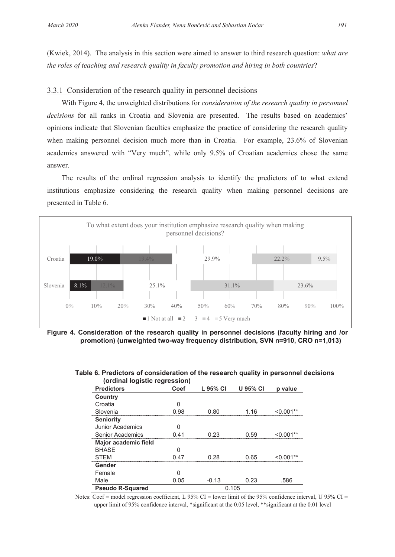(Kwiek, 2014). The analysis in this section were aimed to answer to third research question: *what are the roles of teaching and research quality in faculty promotion and hiring in both countries*?

#### 3.3.1 Consideration of the research quality in personnel decisions

With Figure 4, the unweighted distributions for *consideration of the research quality in personnel decisions* for all ranks in Croatia and Slovenia are presented. The results based on academics' opinions indicate that Slovenian faculties emphasize the practice of considering the research quality when making personnel decision much more than in Croatia. For example, 23.6% of Slovenian academics answered with "Very much", while only 9.5% of Croatian academics chose the same answer.

The results of the ordinal regression analysis to identify the predictors of to what extend institutions emphasize considering the research quality when making personnel decisions are presented in Table 6.



**Figure 4. Consideration of the research quality in personnel decisions (faculty hiring and /or promotion) (unweighted two-way frequency distribution, SVN n=910, CRO n=1,013)** 

| (ordinal logistic regression) |      |          |                 |         |
|-------------------------------|------|----------|-----------------|---------|
| <b>Predictors</b>             | Coef | L 95% CI | <b>U 95% CI</b> | p value |
| Country                       |      |          |                 |         |
| Croatia                       | n    |          |                 |         |
| Slovenia                      | 98   | ი გი     | 1 16            |         |
| <b>Seniority</b>              |      |          |                 |         |
| <b>Junior Academics</b>       |      |          |                 |         |
| Senior Academics              |      | በ 23     | በ 59            |         |
| Major academic field          |      |          |                 |         |
| <b>BHASE</b>                  |      |          |                 |         |
| <b>STFM</b>                   | N 47 | በ 28     | በ 65            |         |
| Gender                        |      |          |                 |         |
| Female                        |      |          |                 |         |
| Male                          | 0.05 | $-0.13$  | 0.23            | .586    |
| <b>Pseudo R-Squared</b>       |      |          | 0.105           |         |

#### **Table 6. Predictors of consideration of the research quality in personnel decisions (ordinal logistic regression)**

Notes: Coef = model regression coefficient, L 95% CI = lower limit of the 95% confidence interval, U 95% CI = upper limit of 95% confidence interval, \*significant at the 0.05 level, \*\*significant at the 0.01 level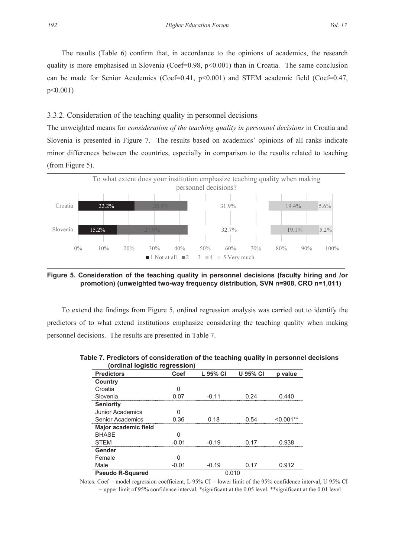The results (Table 6) confirm that, in accordance to the opinions of academics, the research quality is more emphasised in Slovenia (Coef=0.98,  $p<0.001$ ) than in Croatia. The same conclusion can be made for Senior Academics (Coef=0.41,  $p<0.001$ ) and STEM academic field (Coef=0.47, p<0.001)

#### 3.3.2. Consideration of the teaching quality in personnel decisions

The unweighted means for *consideration of the teaching quality in personnel decisions* in Croatia and Slovenia is presented in Figure 7. The results based on academics' opinions of all ranks indicate minor differences between the countries, especially in comparison to the results related to teaching (from Figure 5).



**Figure 5. Consideration of the teaching quality in personnel decisions (faculty hiring and /or promotion) (unweighted two-way frequency distribution, SVN n=908, CRO n=1,011)** 

To extend the findings from Figure 5, ordinal regression analysis was carried out to identify the predictors of to what extend institutions emphasize considering the teaching quality when making personnel decisions. The results are presented in Table 7.

| (ordinal logistic regression) |         |          |                 |         |
|-------------------------------|---------|----------|-----------------|---------|
| <b>Predictors</b>             | Coef    | L 95% CI | <b>U 95% CI</b> | p value |
| Country                       |         |          |                 |         |
| Croatia                       | O       |          |                 |         |
| Slovenia                      | N N7    | 11 ∩ـ    | 9Δ              |         |
| <b>Seniority</b>              |         |          |                 |         |
| <b>Junior Academics</b>       |         |          |                 |         |
| Senior Academics              | በ 36    | 0 18     | በ 54            |         |
| Major academic field          |         |          |                 |         |
| <b>BHASE</b>                  |         |          |                 |         |
| <b>STFM</b>                   |         | -0.19    |                 | -938    |
| Gender                        |         |          |                 |         |
| Female                        | n       |          |                 |         |
| Male                          | $-0.01$ | $-0.19$  | በ 17            | 0.912   |
| <b>Pseudo R-Squared</b>       |         |          | 0.010           |         |

**Table 7. Predictors of consideration of the teaching quality in personnel decisions (ordinal logistic regression)** 

Notes: Coef = model regression coefficient, L 95% CI = lower limit of the 95% confidence interval, U 95% CI

= upper limit of 95% confidence interval, \*significant at the 0.05 level, \*\*significant at the 0.01 level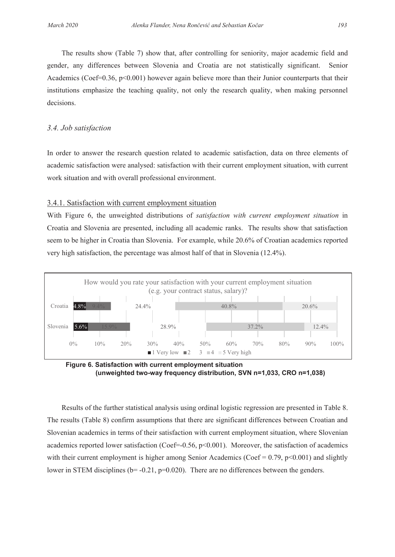The results show (Table 7) show that, after controlling for seniority, major academic field and The results show (Table 7) show that, after controlling for seniority, major academic field and gender, any differences between Slovenia and Croatia are not statistically significant. Senior gender, any differences between Slovenia and Croatia are not statistically significant. Senior Academics (Coef=0.36, p<0.001) however again believe more than their Junior counterparts that their Academics (Coef=0.36, p<0.001) however again believe more than their Junior counterparts that their institutions emphasize the teaching quality, not only the research quality, when making personnel institutions emphasize the teaching quality, not only the research quality, when making personnel decisions. decisions.

# *3.4. Job satisfaction 3.4. Job satisfaction*

In order to answer the research question related to academic satisfaction, data on three elements of In order to answer the research question related to academic satisfaction, data on three elements of academic satisfaction were analysed: satisfaction with their current employment situation, with current academic satisfaction were analysed: satisfaction with their current employment situation, with current work situation and with overall professional environment. work situation and with overall professional environment.

## 3.4.1. Satisfaction with current employment situation 3.4.1. Satisfaction with current employment situation

With Figure 6, the unweighted distributions of *satisfaction with current employment situation* in With Figure 6, the unweighted distributions of *satisfaction with current employment situation* in Croatia and Slovenia are presented, including all academic ranks. The results show that satisfaction Croatia and Slovenia are presented, including all academic ranks. The results show that satisfaction seem to be higher in Croatia than Slovenia. For example, while 20.6% of Croatian academics reported very high satisfaction, the percentage was almost half of that in Slovenia (12.4%). very high satisfaction, the percentage was almost half of that in Slovenia (12.4%).





Results of the further statistical analysis using ordinal logistic regression are presented in Table 8. Results of the further statistical analysis using ordinal logistic regression are presented in Table 8. The results (Table 8) confirm assumptions that there are significant differences between Croatian and The results (Table 8) confirm assumptions that there are significant differences between Croatian and Slovenian academics in terms of their satisfaction with current employment situation, where Slovenian Slovenian academics in terms of their satisfaction with current employment situation, where Slovenian academics reported lower satisfaction (Coef=-0.56, p<0.001). Moreover, the satisfaction of academics with their current employment is higher among Senior Academics (Coef =  $0.79$ , p<0.001) and slightly lower in STEM disciplines ( $b = -0.21$ ,  $p = 0.020$ ). There are no differences between the genders.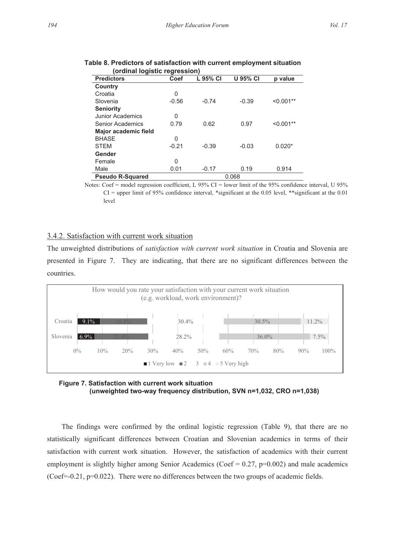| <u>Urumar rugistic regression</u> |         |          |                 |             |
|-----------------------------------|---------|----------|-----------------|-------------|
| <b>Predictors</b>                 | Coef    | L 95% CI | <b>U 95% CI</b> | p value     |
| Country                           |         |          |                 |             |
| Croatia                           | 0       |          |                 |             |
| Slovenia                          | $-0.56$ | $-0.74$  | $-0.39$         | $< 0.001**$ |
| <b>Seniority</b>                  |         |          |                 |             |
| Junior Academics                  | 0       |          |                 |             |
| Senior Academics                  | 0.79    | 0.62     | 0.97            | $< 0.001**$ |
| Major academic field              |         |          |                 |             |
| <b>BHASE</b>                      | 0       |          |                 |             |
| <b>STEM</b>                       | $-0.21$ | $-0.39$  | $-0.03$         | $0.020*$    |
| Gender                            |         |          |                 |             |
| Female                            | 0       |          |                 |             |
| Male                              | 0.01    | $-0.17$  | 0.19            | 0.914       |
| <b>Pseudo R-Squared</b>           |         |          | 0.068           |             |

| Table 8. Predictors of satisfaction with current employment situation |  |
|-----------------------------------------------------------------------|--|
| (ordinal logistic regression)                                         |  |

Notes: Coef = model regression coefficient, L 95% CI = lower limit of the 95% confidence interval, U 95%  $CI =$  upper limit of 95% confidence interval, \*significant at the 0.05 level, \*\*significant at the 0.01 level

# 3.4.2. Satisfaction with current work situation

The unweighted distributions of *satisfaction with current work situation* in Croatia and Slovenia are presented in Figure 7. They are indicating, that there are no significant differences between the countries.



**Figure 7. Satisfaction with current work situation (unweighted two-way frequency distribution, SVN n=1,032, CRO n=1,038)** 

The findings were confirmed by the ordinal logistic regression (Table 9), that there are no statistically significant differences between Croatian and Slovenian academics in terms of their satisfaction with current work situation. However, the satisfaction of academics with their current employment is slightly higher among Senior Academics (Coef =  $0.27$ , p= $0.002$ ) and male academics (Coef=-0.21, p=0.022). There were no differences between the two groups of academic fields.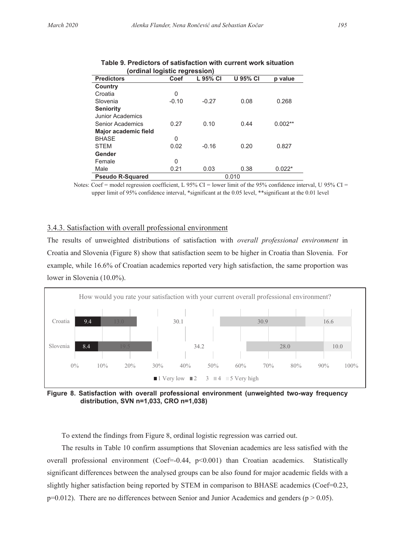|                         | (ordinal logistic regression) |          |                 |           |
|-------------------------|-------------------------------|----------|-----------------|-----------|
| <b>Predictors</b>       | Coef                          | L 95% CI | <b>U 95% CI</b> | p value   |
| Country                 |                               |          |                 |           |
| Croatia                 | 0                             |          |                 |           |
| Slovenia                | $-0.10$                       | $-0.27$  | 0.08            | 0.268     |
| <b>Seniority</b>        |                               |          |                 |           |
| Junior Academics        |                               |          |                 |           |
| Senior Academics        | 0.27                          | 0.10     | 0.44            | $0.002**$ |
| Major academic field    |                               |          |                 |           |
| <b>BHASE</b>            | 0                             |          |                 |           |
| <b>STEM</b>             | 0.02                          | $-0.16$  | 0.20            | 0.827     |
| Gender                  |                               |          |                 |           |
| Female                  | 0                             |          |                 |           |
| Male                    | 0.21                          | 0.03     | 0.38            | $0.022*$  |
| <b>Pseudo R-Squared</b> |                               |          | 0.010           |           |

| Table 9. Predictors of satisfaction with current work situation |
|-----------------------------------------------------------------|
| (ordinal logistic regression)                                   |

Notes: Coef = model regression coefficient, L 95% CI = lower limit of the 95% confidence interval, U 95% CI = upper limit of 95% confidence interval, \*significant at the 0.05 level, \*\*significant at the 0.01 level

#### 3.4.3. Satisfaction with overall professional environment

The results of unweighted distributions of satisfaction with *overall professional environment* in Croatia and Slovenia (Figure 8) show that satisfaction seem to be higher in Croatia than Slovenia. For example, while 16.6% of Croatian academics reported very high satisfaction, the same proportion was lower in Slovenia (10.0%).



**Figure 8. Satisfaction with overall professional environment (unweighted two-way frequency distribution, SVN n=1,033, CRO n=1,038)** 

To extend the findings from Figure 8, ordinal logistic regression was carried out.

The results in Table 10 confirm assumptions that Slovenian academics are less satisfied with the overall professional environment (Coef=-0.44,  $p$ <0.001) than Croatian academics. Statistically significant differences between the analysed groups can be also found for major academic fields with a slightly higher satisfaction being reported by STEM in comparison to BHASE academics (Coef=0.23,  $p=0.012$ ). There are no differences between Senior and Junior Academics and genders ( $p > 0.05$ ).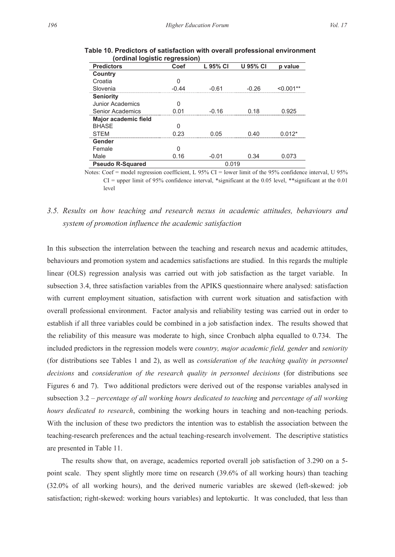| <b>Predictors</b>       | Coef  | L 95% CI | <b>U 95% CI</b> | p value |  |  |
|-------------------------|-------|----------|-----------------|---------|--|--|
| Country                 |       |          |                 |         |  |  |
| Croatia                 |       |          |                 |         |  |  |
| Slovenia                | -N 44 |          | -በ 26           |         |  |  |
| <b>Seniority</b>        |       |          |                 |         |  |  |
| Junior Academics        |       |          |                 |         |  |  |
| Senior Academics        |       | -በ 16    |                 |         |  |  |
| Major academic field    |       |          |                 |         |  |  |
| <b>BHASE</b>            |       |          |                 |         |  |  |
| <b>STFM</b>             | つろ    | ი ი5     | () 40           |         |  |  |
| Gender                  |       |          |                 |         |  |  |
| Female                  |       |          |                 |         |  |  |
| Male                    | 0.16  | $-0.01$  | 0.34            | 0.073   |  |  |
| <b>Pseudo R-Squared</b> | 0.019 |          |                 |         |  |  |

**Table 10. Predictors of satisfaction with overall professional environment (ordinal logistic regression)** 

Notes: Coef = model regression coefficient, L  $95\%$  CI = lower limit of the 95% confidence interval, U  $95\%$  $CI =$  upper limit of 95% confidence interval, \*significant at the 0.05 level, \*\*significant at the 0.01 level

# *3.5. Results on how teaching and research nexus in academic attitudes, behaviours and system of promotion influence the academic satisfaction*

In this subsection the interrelation between the teaching and research nexus and academic attitudes, behaviours and promotion system and academics satisfactions are studied. In this regards the multiple linear (OLS) regression analysis was carried out with job satisfaction as the target variable. In subsection 3.4, three satisfaction variables from the APIKS questionnaire where analysed: satisfaction with current employment situation, satisfaction with current work situation and satisfaction with overall professional environment. Factor analysis and reliability testing was carried out in order to establish if all three variables could be combined in a job satisfaction index. The results showed that the reliability of this measure was moderate to high, since Cronbach alpha equalled to 0.734. The included predictors in the regression models were *country, major academic field, gender* and *seniority* (for distributions see Tables 1 and 2), as well as *consideration of the teaching quality in personnel decisions* and *consideration of the research quality in personnel decisions* (for distributions see Figures 6 and 7). Two additional predictors were derived out of the response variables analysed in subsection 3.2 – *percentage of all working hours dedicated to teaching* and *percentage of all working hours dedicated to research*, combining the working hours in teaching and non-teaching periods. With the inclusion of these two predictors the intention was to establish the association between the teaching-research preferences and the actual teaching-research involvement. The descriptive statistics are presented in Table 11.

The results show that, on average, academics reported overall job satisfaction of 3.290 on a 5 point scale. They spent slightly more time on research (39.6% of all working hours) than teaching (32.0% of all working hours), and the derived numeric variables are skewed (left-skewed: job satisfaction; right-skewed: working hours variables) and leptokurtic. It was concluded, that less than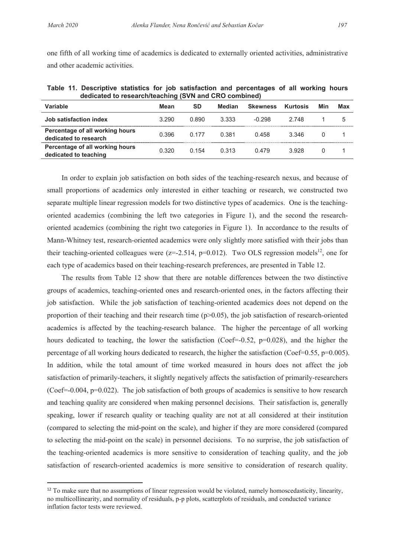one fifth of all working time of academics is dedicated to externally oriented activities, administrative and other academic activities.

**Table 11. Descriptive statistics for job satisfaction and percentages of all working hours dedicated to research/teaching (SVN and CRO combined)** 

| Variable                                                 | Mean  | SD    | Median | <b>Skewness</b> | Kurtosis | Min      | Max |
|----------------------------------------------------------|-------|-------|--------|-----------------|----------|----------|-----|
| Job satisfaction index                                   | 3.290 | 0.890 | 3.333  | $-0.298$        | 2 748    |          | 5   |
| Percentage of all working hours<br>dedicated to research | 0.396 | 0 177 | 0.381  | 0.458           | 3.346    | $\Omega$ |     |
| Percentage of all working hours<br>dedicated to teaching | 0.320 | 0.154 | 0.313  | 0.479           | 3.928    |          |     |

In order to explain job satisfaction on both sides of the teaching-research nexus, and because of small proportions of academics only interested in either teaching or research, we constructed two separate multiple linear regression models for two distinctive types of academics. One is the teachingoriented academics (combining the left two categories in Figure 1), and the second the researchoriented academics (combining the right two categories in Figure 1). In accordance to the results of Mann-Whitney test, research-oriented academics were only slightly more satisfied with their jobs than their teaching-oriented colleagues were ( $z=-2.514$ ,  $p=0.012$ ). Two OLS regression models<sup>12</sup>, one for each type of academics based on their teaching-research preferences, are presented in Table 12.

The results from Table 12 show that there are notable differences between the two distinctive groups of academics, teaching-oriented ones and research-oriented ones, in the factors affecting their job satisfaction. While the job satisfaction of teaching-oriented academics does not depend on the proportion of their teaching and their research time  $(p>0.05)$ , the job satisfaction of research-oriented academics is affected by the teaching-research balance. The higher the percentage of all working hours dedicated to teaching, the lower the satisfaction (Coef=-0.52, p=0.028), and the higher the percentage of all working hours dedicated to research, the higher the satisfaction (Coef=0.55, p=0.005). In addition, while the total amount of time worked measured in hours does not affect the job satisfaction of primarily-teachers, it slightly negatively affects the satisfaction of primarily-researchers (Coef=-0.004, p=0.022). The job satisfaction of both groups of academics is sensitive to how research and teaching quality are considered when making personnel decisions. Their satisfaction is, generally speaking, lower if research quality or teaching quality are not at all considered at their institution (compared to selecting the mid-point on the scale), and higher if they are more considered (compared to selecting the mid-point on the scale) in personnel decisions. To no surprise, the job satisfaction of the teaching-oriented academics is more sensitive to consideration of teaching quality, and the job satisfaction of research-oriented academics is more sensitive to consideration of research quality.

 $12$  To make sure that no assumptions of linear regression would be violated, namely homoscedasticity, linearity, no multicollinearity, and normality of residuals, p-p plots, scatterplots of residuals, and conducted variance inflation factor tests were reviewed.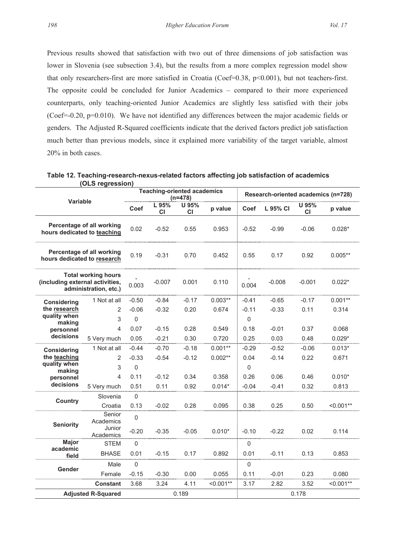Previous results showed that satisfaction with two out of three dimensions of job satisfaction was lower in Slovenia (see subsection 3.4), but the results from a more complex regression model show that only researchers-first are more satisfied in Croatia (Coef=0.38, p<0.001), but not teachers-first. The opposite could be concluded for Junior Academics – compared to their more experienced counterparts, only teaching-oriented Junior Academics are slightly less satisfied with their jobs (Coef=-0.20,  $p=0.010$ ). We have not identified any differences between the major academic fields or genders. The Adjusted R-Squared coefficients indicate that the derived factors predict job satisfaction much better than previous models, since it explained more variability of the target variable, almost 20% in both cases.

| Variable                                                                               |                     | <b>Teaching-oriented academics</b><br>$(n=478)$ |             |                    | Research-oriented academics (n=728) |             |          |             |             |
|----------------------------------------------------------------------------------------|---------------------|-------------------------------------------------|-------------|--------------------|-------------------------------------|-------------|----------|-------------|-------------|
|                                                                                        |                     | Coef                                            | L 95%<br>СI | U 95%<br><b>CI</b> | p value                             | Coef        | L 95% CI | U 95%<br>СI | p value     |
| Percentage of all working<br>hours dedicated to teaching                               |                     | 0.02                                            | $-0.52$     | 0.55               | 0.953                               | $-0.52$     | $-0.99$  | $-0.06$     | $0.028*$    |
| Percentage of all working<br>hours dedicated to research                               |                     | 0.19                                            | $-0.31$     | 0.70               | 0.452                               | 0.55        | 0.17     | 0.92        | $0.005**$   |
| <b>Total working hours</b><br>(including external activities,<br>administration, etc.) |                     | 0.003                                           | $-0.007$    | 0.001              | 0.110                               | 0.004       | $-0.008$ | $-0.001$    | $0.022*$    |
| <b>Considering</b><br>the research<br>quality when<br>making<br>personnel<br>decisions | 1 Not at all        | $-0.50$                                         | $-0.84$     | $-0.17$            | $0.003**$                           | $-0.41$     | $-0.65$  | $-0.17$     | $0.001**$   |
|                                                                                        | $\overline{2}$      | $-0.06$                                         | $-0.32$     | 0.20               | 0.674                               | $-0.11$     | $-0.33$  | 0.11        | 0.314       |
|                                                                                        | 3                   | $\mathbf 0$                                     |             |                    |                                     | $\mathbf 0$ |          |             |             |
|                                                                                        | $\overline{4}$      | 0.07                                            | $-0.15$     | 0.28               | 0.549                               | 0.18        | $-0.01$  | 0.37        | 0.068       |
|                                                                                        | 5 Very much         | 0.05                                            | $-0.21$     | 0.30               | 0.720                               | 0.25        | 0.03     | 0.48        | $0.029*$    |
| <b>Considering</b><br>the teaching<br>quality when<br>making<br>personnel<br>decisions | 1 Not at all        | $-0.44$                                         | $-0.70$     | $-0.18$            | $0.001**$                           | $-0.29$     | $-0.52$  | $-0.06$     | $0.013*$    |
|                                                                                        | $\overline{2}$      | $-0.33$                                         | $-0.54$     | $-0.12$            | $0.002**$                           | 0.04        | $-0.14$  | 0.22        | 0.671       |
|                                                                                        | 3                   | $\mathbf 0$                                     |             |                    |                                     | $\mathbf 0$ |          |             |             |
|                                                                                        | $\overline{4}$      | 0.11                                            | $-0.12$     | 0.34               | 0.358                               | 0.26        | 0.06     | 0.46        | $0.010*$    |
|                                                                                        | 5 Very much         | 0.51                                            | 0.11        | 0.92               | $0.014*$                            | $-0.04$     | $-0.41$  | 0.32        | 0.813       |
| Country                                                                                | Slovenia            | $\mathbf 0$                                     |             |                    |                                     |             |          |             |             |
|                                                                                        | Croatia             | 0.13                                            | $-0.02$     | 0.28               | 0.095                               | 0.38        | 0.25     | 0.50        | $< 0.001**$ |
| <b>Seniority</b>                                                                       | Senior<br>Academics | $\overline{0}$                                  |             |                    |                                     |             |          |             |             |
|                                                                                        | Junior<br>Academics | $-0.20$                                         | $-0.35$     | $-0.05$            | $0.010*$                            | $-0.10$     | $-0.22$  | 0.02        | 0.114       |
| Major<br>academic<br>field                                                             | <b>STEM</b>         | $\mathbf 0$                                     |             |                    |                                     | $\mathbf 0$ |          |             |             |
|                                                                                        | <b>BHASE</b>        | 0.01                                            | $-0.15$     | 0.17               | 0.892                               | 0.01        | $-0.11$  | 0.13        | 0.853       |
| Gender                                                                                 | Male                | $\mathbf 0$                                     |             |                    |                                     | $\mathbf 0$ |          |             |             |
|                                                                                        | Female              | $-0.15$                                         | $-0.30$     | 0.00               | 0.055                               | 0.11        | $-0.01$  | 0.23        | 0.080       |
|                                                                                        | Constant            | 3.68                                            | 3.24        | 4.11               | $< 0.001**$                         | 3.17        | 2.82     | 3.52        | $< 0.001**$ |
| <b>Adjusted R-Squared</b>                                                              |                     |                                                 |             | 0.189              |                                     |             |          | 0.178       |             |

**Table 12. Teaching-research-nexus-related factors affecting job satisfaction of academics (OLS regression)**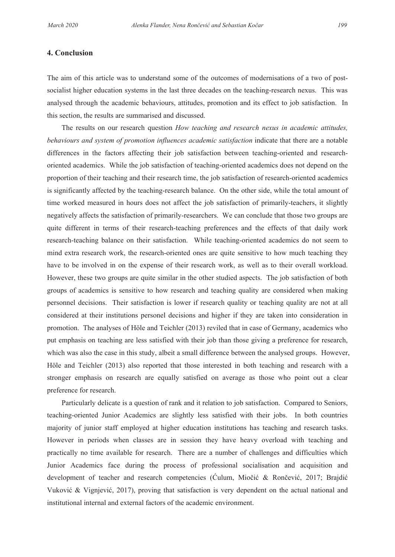## **4. Conclusion**

The aim of this article was to understand some of the outcomes of modernisations of a two of postsocialist higher education systems in the last three decades on the teaching-research nexus. This was analysed through the academic behaviours, attitudes, promotion and its effect to job satisfaction. In this section, the results are summarised and discussed.

The results on our research question *How teaching and research nexus in academic attitudes, behaviours and system of promotion influences academic satisfaction* indicate that there are a notable differences in the factors affecting their job satisfaction between teaching-oriented and researchoriented academics. While the job satisfaction of teaching-oriented academics does not depend on the proportion of their teaching and their research time, the job satisfaction of research-oriented academics is significantly affected by the teaching-research balance. On the other side, while the total amount of time worked measured in hours does not affect the job satisfaction of primarily-teachers, it slightly negatively affects the satisfaction of primarily-researchers. We can conclude that those two groups are quite different in terms of their research-teaching preferences and the effects of that daily work research-teaching balance on their satisfaction. While teaching-oriented academics do not seem to mind extra research work, the research-oriented ones are quite sensitive to how much teaching they have to be involved in on the expense of their research work, as well as to their overall workload. However, these two groups are quite similar in the other studied aspects. The job satisfaction of both groups of academics is sensitive to how research and teaching quality are considered when making personnel decisions. Their satisfaction is lower if research quality or teaching quality are not at all considered at their institutions personel decisions and higher if they are taken into consideration in promotion. The analyses of Höle and Teichler (2013) reviled that in case of Germany, academics who put emphasis on teaching are less satisfied with their job than those giving a preference for research, which was also the case in this study, albeit a small difference between the analysed groups. However, Höle and Teichler (2013) also reported that those interested in both teaching and research with a stronger emphasis on research are equally satisfied on average as those who point out a clear preference for research.

Particularly delicate is a question of rank and it relation to job satisfaction. Compared to Seniors, teaching-oriented Junior Academics are slightly less satisfied with their jobs. In both countries majority of junior staff employed at higher education institutions has teaching and research tasks. However in periods when classes are in session they have heavy overload with teaching and practically no time available for research. There are a number of challenges and difficulties which Junior Academics face during the process of professional socialisation and acquisition and development of teacher and research competencies (Ćulum, Miočić & Rončević, 2017; Brajdić Vuković & Vignjević, 2017), proving that satisfaction is very dependent on the actual national and institutional internal and external factors of the academic environment.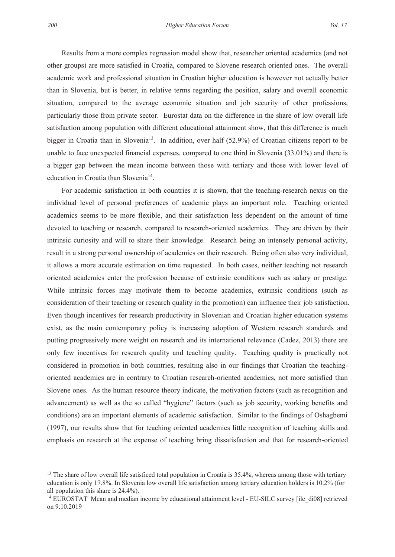Results from a more complex regression model show that, researcher oriented academics (and not other groups) are more satisfied in Croatia, compared to Slovene research oriented ones. The overall academic work and professional situation in Croatian higher education is however not actually better than in Slovenia, but is better, in relative terms regarding the position, salary and overall economic situation, compared to the average economic situation and job security of other professions, particularly those from private sector. Eurostat data on the difference in the share of low overall life satisfaction among population with different educational attainment show, that this difference is much bigger in Croatia than in Slovenia<sup>13</sup>. In addition, over half  $(52.9%)$  of Croatian citizens report to be unable to face unexpected financial expenses, compared to one third in Slovenia (33.01%) and there is a bigger gap between the mean income between those with tertiary and those with lower level of education in Croatia than Slovenia<sup>14</sup>.

For academic satisfaction in both countries it is shown, that the teaching-research nexus on the individual level of personal preferences of academic plays an important role. Teaching oriented academics seems to be more flexible, and their satisfaction less dependent on the amount of time devoted to teaching or research, compared to research-oriented academics. They are driven by their intrinsic curiosity and will to share their knowledge. Research being an intensely personal activity, result in a strong personal ownership of academics on their research. Being often also very individual, it allows a more accurate estimation on time requested. In both cases, neither teaching not research oriented academics enter the profession because of extrinsic conditions such as salary or prestige. While intrinsic forces may motivate them to become academics, extrinsic conditions (such as consideration of their teaching or research quality in the promotion) can influence their job satisfaction. Even though incentives for research productivity in Slovenian and Croatian higher education systems exist, as the main contemporary policy is increasing adoption of Western research standards and putting progressively more weight on research and its international relevance (Cadez, 2013) there are only few incentives for research quality and teaching quality. Teaching quality is practically not considered in promotion in both countries, resulting also in our findings that Croatian the teachingoriented academics are in contrary to Croatian research-oriented academics, not more satisfied than Slovene ones. As the human resource theory indicate, the motivation factors (such as recognition and advancement) as well as the so called "hygiene" factors (such as job security, working benefits and conditions) are an important elements of academic satisfaction. Similar to the findings of Oshagbemi (1997), our results show that for teaching oriented academics little recognition of teaching skills and emphasis on research at the expense of teaching bring dissatisfaction and that for research-oriented

<sup>&</sup>lt;sup>13</sup> The share of low overall life satisficed total population in Croatia is 35.4%, whereas among those with tertiary education is only 17.8%. In Slovenia low overall life satisfaction among tertiary education holders is 10.2% (for all population this share is 24.4%).

<sup>&</sup>lt;sup>14</sup> EUROSTAT Mean and median income by educational attainment level - EU-SILC survey [ilc\_di08] retrieved on 9.10.2019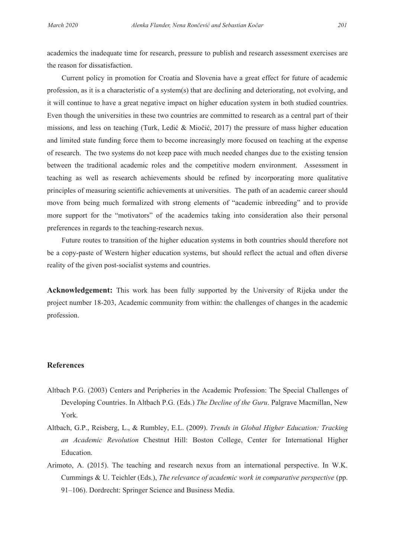academics the inadequate time for research, pressure to publish and research assessment exercises are the reason for dissatisfaction.

Current policy in promotion for Croatia and Slovenia have a great effect for future of academic profession, as it is a characteristic of a system(s) that are declining and deteriorating, not evolving, and it will continue to have a great negative impact on higher education system in both studied countries. Even though the universities in these two countries are committed to research as a central part of their missions, and less on teaching (Turk, Ledić & Miočić, 2017) the pressure of mass higher education and limited state funding force them to become increasingly more focused on teaching at the expense of research. The two systems do not keep pace with much needed changes due to the existing tension between the traditional academic roles and the competitive modern environment. Assessment in teaching as well as research achievements should be refined by incorporating more qualitative principles of measuring scientific achievements at universities. The path of an academic career should move from being much formalized with strong elements of "academic inbreeding" and to provide more support for the "motivators" of the academics taking into consideration also their personal preferences in regards to the teaching-research nexus.

Future routes to transition of the higher education systems in both countries should therefore not be a copy-paste of Western higher education systems, but should reflect the actual and often diverse reality of the given post-socialist systems and countries.

**Acknowledgement:** This work has been fully supported by the University of Rijeka under the project number 18-203, Academic community from within: the challenges of changes in the academic profession.

## **References**

- Altbach P.G. (2003) Centers and Peripheries in the Academic Profession: The Special Challenges of Developing Countries. In Altbach P.G. (Eds.) *The Decline of the Guru*. Palgrave Macmillan, New York.
- Altbach, G.P., Reisberg, L., & Rumbley, E.L. (2009). *Trends in Global Higher Education: Tracking an Academic Revolution* Chestnut Hill: Boston College, Center for International Higher Education.
- Arimoto, A. (2015). The teaching and research nexus from an international perspective. In W.K. Cummings & U. Teichler (Eds.), *The relevance of academic work in comparative perspective* (pp. 91–106). Dordrecht: Springer Science and Business Media.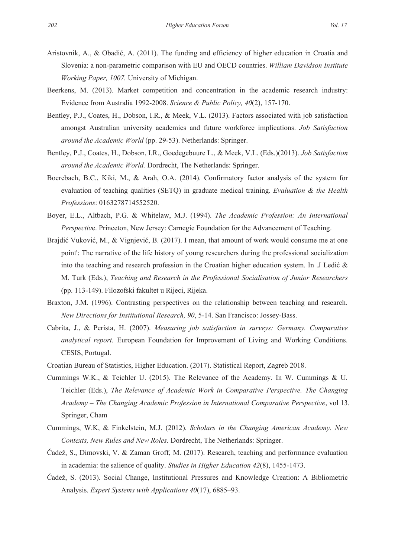- Aristovnik, A., & Obadić, A. (2011). The funding and efficiency of higher education in Croatia and Slovenia: a non-parametric comparison with EU and OECD countries. *William Davidson Institute Working Paper, 1007.* University of Michigan.
- Beerkens, M. (2013). Market competition and concentration in the academic research industry: Evidence from Australia 1992-2008. *Science & Public Policy, 40*(2), 157-170.
- Bentley, P.J., Coates, H., Dobson, I.R., & Meek, V.L. (2013). Factors associated with job satisfaction amongst Australian university academics and future workforce implications. *Job Satisfaction around the Academic World* (pp. 29-53). Netherlands: Springer.
- Bentley, P.J., Coates, H., Dobson, I.R., Goedegebuure L., & Meek, V.L. (Eds.)(2013). *Job Satisfaction around the Academic World.* Dordrecht, The Netherlands: Springer.
- Boerebach, B.C., Kiki, M., & Arah, O.A. (2014). Confirmatory factor analysis of the system for evaluation of teaching qualities (SETQ) in graduate medical training. *Evaluation & the Health Professions*: 0163278714552520.
- Boyer, E.L., Altbach, P.G. & Whitelaw, M.J. (1994). *The Academic Profession: An International Perspectiv*e. Princeton, New Jersey: Carnegie Foundation for the Advancement of Teaching.
- Brajdić Vuković, M., & Vignjević, B. (2017). I mean, that amount of work would consume me at one point': The narrative of the life history of young researchers during the professional socialization into the teaching and research profession in the Croatian higher education system. In .J Ledić & M. Turk (Eds.), *Teaching and Research in the Professional Socialisation of Junior Researchers* (pp. 113-149). Filozofski fakultet u Rijeci, Rijeka.
- Braxton, J.M. (1996). Contrasting perspectives on the relationship between teaching and research. *New Directions for Institutional Research, 90*, 5-14. San Francisco: Jossey-Bass.
- Cabrita, J., & Perista, H. (2007). *Measuring job satisfaction in surveys: Germany. Comparative analytical report.* European Foundation for Improvement of Living and Working Conditions. CESIS, Portugal.
- Croatian Bureau of Statistics, Higher Education. (2017). Statistical Report, Zagreb 2018.
- Cummings W.K., & Teichler U. (2015). The Relevance of the Academy. In W. Cummings & U. Teichler (Eds.), *The Relevance of Academic Work in Comparative Perspective. The Changing Academy – The Changing Academic Profession in International Comparative Perspective*, vol 13. Springer, Cham
- Cummings, W.K, & Finkelstein, M.J. (2012). *Scholars in the Changing American Academy. New Contexts, New Rules and New Roles.* Dordrecht, The Netherlands: Springer.
- Čadež, S., Dimovski, V. & Zaman Groff, M. (2017). Research, teaching and performance evaluation in academia: the salience of quality. *Studies in Higher Education 42*(8), 1455-1473.
- Čadež, S. (2013). Social Change, Institutional Pressures and Knowledge Creation: A Bibliometric Analysis. *Expert Systems with Applications 40*(17), 6885–93.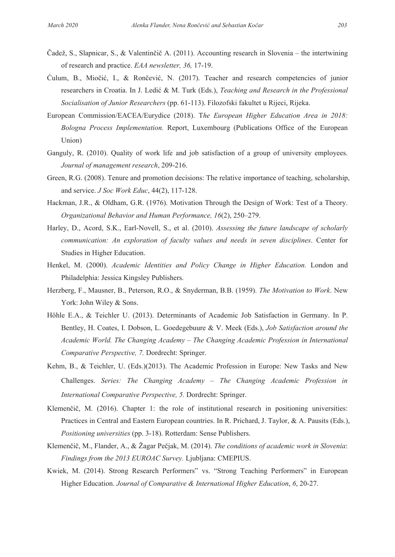- Čadež, S., Slapnicar, S., & Valentinčič A. (2011). Accounting research in Slovenia the intertwining of research and practice. *EAA newsletter, 36,* 17-19.
- Ćulum, B., Miočić, I., & Rončević, N. (2017). Teacher and research competencies of junior researchers in Croatia. In J. Ledić & M. Turk (Eds.), *Teaching and Research in the Professional Socialisation of Junior Researchers* (pp. 61-113). Filozofski fakultet u Rijeci, Rijeka.
- European Commission/EACEA/Eurydice (2018). T*he European Higher Education Area in 2018: Bologna Process Implementation.* Report, Luxembourg (Publications Office of the European Union)
- Ganguly, R. (2010). Quality of work life and job satisfaction of a group of university employees. *Journal of management research*, 209-216.
- Green, R.G. (2008). Tenure and promotion decisions: The relative importance of teaching, scholarship, and service. *J Soc Work Educ*, 44(2), 117-128.
- Hackman, J.R., & Oldham, G.R. (1976). Motivation Through the Design of Work: Test of a Theory. *Organizational Behavior and Human Performance, 16*(2), 250–279.
- Harley, D., Acord, S.K., Earl-Novell, S., et al. (2010). *Assessing the future landscape of scholarly communication: An exploration of faculty values and needs in seven disciplines*. Center for Studies in Higher Education.
- Henkel, M. (2000). *Academic Identities and Policy Change in Higher Education.* London and Philadelphia: Jessica Kingsley Publishers.
- Herzberg, F., Mausner, B., Peterson, R.O., & Snyderman, B.B. (1959). *The Motivation to Work*. New York: John Wiley & Sons.
- Höhle E.A., & Teichler U. (2013). Determinants of Academic Job Satisfaction in Germany. In P. Bentley, H. Coates, I. Dobson, L. Goedegebuure & V. Meek (Eds.), *Job Satisfaction around the Academic World. The Changing Academy – The Changing Academic Profession in International Comparative Perspective, 7.* Dordrecht: Springer.
- Kehm, B., & Teichler, U. (Eds.)(2013). The Academic Profession in Europe: New Tasks and New Challenges. *Series: The Changing Academy – The Changing Academic Profession in International Comparative Perspective, 5.* Dordrecht: Springer.
- Klemenčič, M. (2016). Chapter 1: the role of institutional research in positioning universities: Practices in Central and Eastern European countries. In R. Prichard, J. Taylor, & A. Pausits (Eds.), *Positioning universities* (pp. 3-18). Rotterdam: Sense Publishers.
- Klemenčič, M., Flander, A., & Žagar Pečjak, M. (2014). *The conditions of academic work in Slovenia*: *Findings from the 2013 EUROAC Survey.* Ljubljana: CMEPIUS.
- Kwiek, M. (2014). Strong Research Performers" vs. "Strong Teaching Performers" in European Higher Education. *Journal of Comparative & International Higher Education*, *6*, 20-27.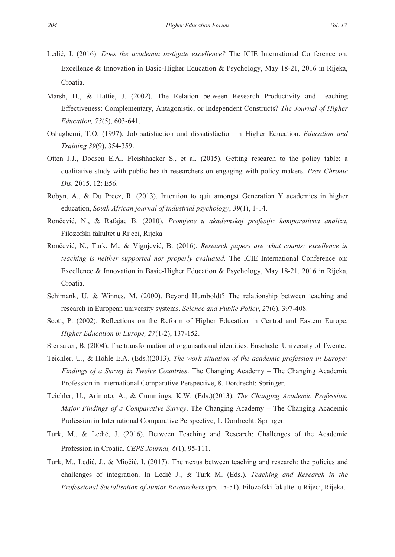- Ledić, J. (2016). *Does the academia instigate excellence?* The ICIE International Conference on: Excellence & Innovation in Basic-Higher Education & Psychology, May 18-21, 2016 in Rijeka, Croatia.
- Marsh, H., & Hattie, J. (2002). The Relation between Research Productivity and Teaching Effectiveness: Complementary, Antagonistic, or Independent Constructs? *The Journal of Higher Education, 73*(5), 603-641.
- Oshagbemi, T.O. (1997). Job satisfaction and dissatisfaction in Higher Education. *Education and Training 39*(9), 354-359.
- Otten J.J., Dodsen E.A., Fleishhacker S., et al. (2015). Getting research to the policy table: a qualitative study with public health researchers on engaging with policy makers. *Prev Chronic Dis.* 2015. 12: E56.
- Robyn, A., & Du Preez, R. (2013). Intention to quit amongst Generation Y academics in higher education, *South African journal of industrial psychology*, *39*(1), 1-14.
- Rončević, N., & Rafajac B. (2010). *Promjene u akademskoj profesiji: komparativna analiza*, Filozofski fakultet u Rijeci, Rijeka
- Rončević, N., Turk, M., & Vignjević, B. (2016). *Research papers are what counts: excellence in teaching is neither supported nor properly evaluated.* The ICIE International Conference on: Excellence & Innovation in Basic-Higher Education & Psychology, May 18-21, 2016 in Rijeka, Croatia.
- Schimank, U. & Winnes, M. (2000). Beyond Humboldt? The relationship between teaching and research in European university systems. *Science and Public Policy*, 27(6), 397-408.
- Scott, P. (2002). Reflections on the Reform of Higher Education in Central and Eastern Europe. *Higher Education in Europe, 27*(1-2), 137-152.
- Stensaker, B. (2004). The transformation of organisational identities. Enschede: University of Twente.
- Teichler, U., & Höhle E.A. (Eds.)(2013). *The work situation of the academic profession in Europe: Findings of a Survey in Twelve Countries*. The Changing Academy – The Changing Academic Profession in International Comparative Perspective, 8. Dordrecht: Springer.
- Teichler, U., Arimoto, A., & Cummings, K.W. (Eds.)(2013). *The Changing Academic Profession. Major Findings of a Comparative Survey*. The Changing Academy – The Changing Academic Profession in International Comparative Perspective, 1. Dordrecht: Springer.
- Turk, M., & Ledić, J. (2016). Between Teaching and Research: Challenges of the Academic Profession in Croatia. *CEPS Journal, 6*(1), 95-111.
- Turk, M., Ledić, J., & Miočić, I. (2017). The nexus between teaching and research: the policies and challenges of integration. In Ledić J., & Turk M. (Eds.), *Teaching and Research in the Professional Socialisation of Junior Researchers* (pp. 15-51). Filozofski fakultet u Rijeci, Rijeka.